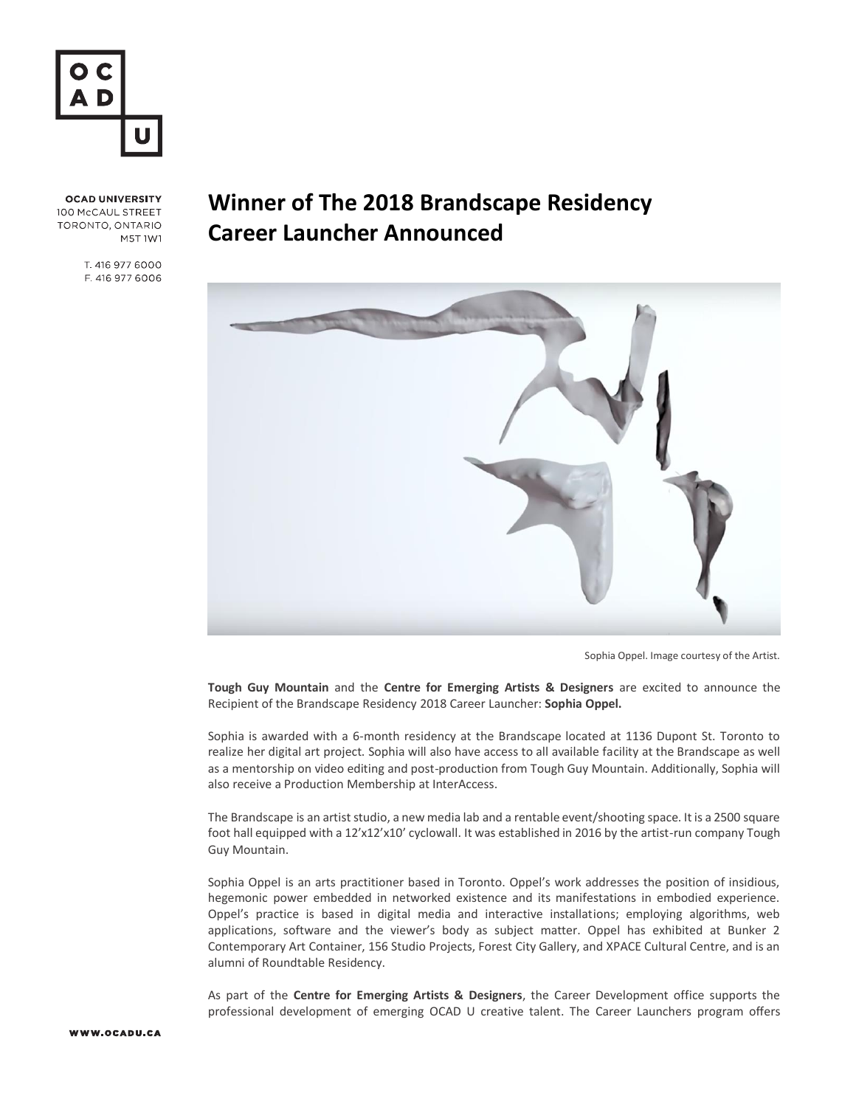

**OCAD UNIVERSITY** 100 McCAUL STREET TORONTO, ONTARIO M5T 1W1

> T. 416 977 6000 F. 416 977 6006

## **Winner of The 2018 Brandscape Residency Career Launcher Announced**



Sophia Oppel. Image courtesy of the Artist.

**Tough Guy Mountain** and the **Centre for Emerging Artists & Designers** are excited to announce the Recipient of the Brandscape Residency 2018 Career Launcher: **Sophia Oppel.** 

Sophia is awarded with a 6-month residency at the Brandscape located at 1136 Dupont St. Toronto to realize her digital art project. Sophia will also have access to all available facility at the Brandscape as well as a mentorship on video editing and post-production from Tough Guy Mountain. Additionally, Sophia will also receive a Production Membership at InterAccess.

The Brandscape is an artist studio, a new media lab and a rentable event/shooting space. It is a 2500 square foot hall equipped with a 12'x12'x10' cyclowall. It was established in 2016 by the artist-run company Tough Guy Mountain.

Sophia Oppel is an arts practitioner based in Toronto. Oppel's work addresses the position of insidious, hegemonic power embedded in networked existence and its manifestations in embodied experience. Oppel's practice is based in digital media and interactive installations; employing algorithms, web applications, software and the viewer's body as subject matter. Oppel has exhibited at Bunker 2 Contemporary Art Container, 156 Studio Projects, Forest City Gallery, and XPACE Cultural Centre, and is an alumni of Roundtable Residency.

As part of the **Centre for Emerging Artists & Designers**, the Career Development office supports the professional development of emerging OCAD U creative talent. The [Career Launchers](https://careerlaunchers.format.com/) program offers